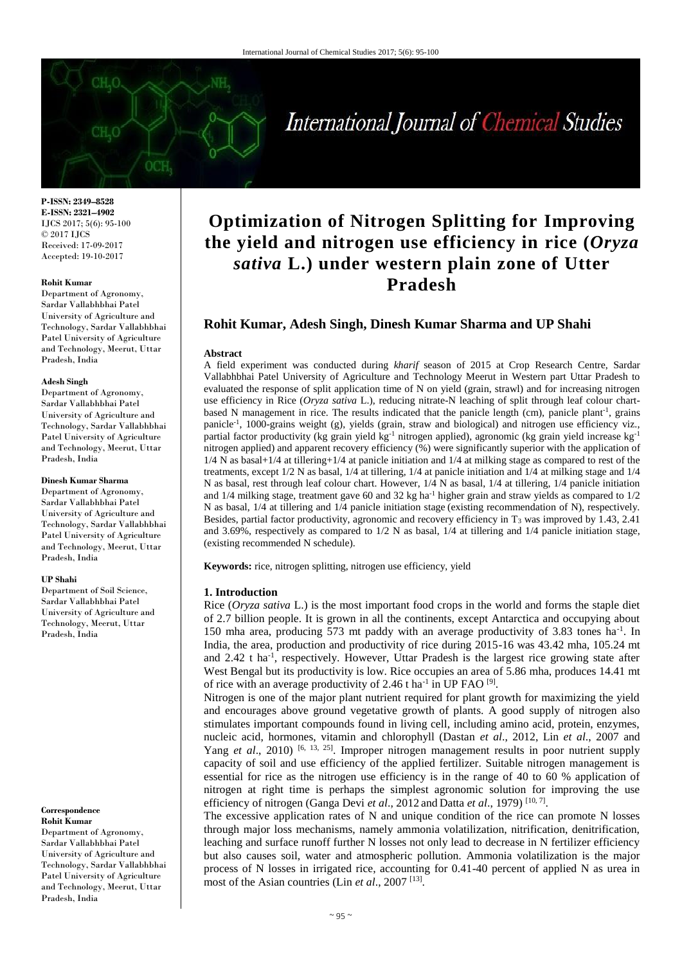# International Journal of Chemical Studies

**P-ISSN: 2349–8528 E-ISSN: 2321–4902** IJCS 2017; 5(6): 95-100 © 2017 IJCS Received: 17-09-2017 Accepted: 19-10-2017

#### **Rohit Kumar**

Department of Agronomy, Sardar Vallabhbhai Patel University of Agriculture and Technology, Sardar Vallabhbhai Patel University of Agriculture and Technology, Meerut, Uttar Pradesh, India

#### **Adesh Singh**

Department of Agronomy, Sardar Vallabhbhai Patel University of Agriculture and Technology, Sardar Vallabhbhai Patel University of Agriculture and Technology, Meerut, Uttar Pradesh, India

#### **Dinesh Kumar Sharma**

Department of Agronomy, Sardar Vallabhbhai Patel University of Agriculture and Technology, Sardar Vallabhbhai Patel University of Agriculture and Technology, Meerut, Uttar Pradesh, India

#### **UP Shahi**

Department of Soil Science, Sardar Vallabhbhai Patel University of Agriculture and Technology, Meerut, Uttar Pradesh, India

#### **Correspondence Rohit Kumar**

Department of Agronomy, Sardar Vallabhbhai Patel University of Agriculture and Technology, Sardar Vallabhbhai Patel University of Agriculture and Technology, Meerut, Uttar Pradesh, India

# **Optimization of Nitrogen Splitting for Improving the yield and nitrogen use efficiency in rice (***Oryza sativa* **L.) under western plain zone of Utter Pradesh**

# **Rohit Kumar, Adesh Singh, Dinesh Kumar Sharma and UP Shahi**

#### **Abstract**

A field experiment was conducted during *kharif* season of 2015 at Crop Research Centre, Sardar Vallabhbhai Patel University of Agriculture and Technology Meerut in Western part Uttar Pradesh to evaluated the response of split application time of N on yield (grain, strawl) and for increasing nitrogen use efficiency in Rice (*Oryza sativa* L.), reducing nitrate-N leaching of split through leaf colour chartbased N management in rice. The results indicated that the panicle length (cm), panicle plant<sup>-1</sup>, grains panicle<sup>-1</sup>, 1000-grains weight (g), yields (grain, straw and biological) and nitrogen use efficiency viz., partial factor productivity (kg grain yield kg<sup>-1</sup> nitrogen applied), agronomic (kg grain yield increase kg<sup>-1</sup> nitrogen applied) and apparent recovery efficiency (%) were significantly superior with the application of 1/4 N as basal+1/4 at tillering+1/4 at panicle initiation and 1/4 at milking stage as compared to rest of the treatments, except 1/2 N as basal, 1/4 at tillering, 1/4 at panicle initiation and 1/4 at milking stage and 1/4 N as basal, rest through leaf colour chart. However, 1/4 N as basal, 1/4 at tillering, 1/4 panicle initiation and  $1/4$  milking stage, treatment gave 60 and 32 kg ha<sup>-1</sup> higher grain and straw yields as compared to  $1/2$ N as basal, 1/4 at tillering and 1/4 panicle initiation stage (existing recommendation of N), respectively. Besides, partial factor productivity, agronomic and recovery efficiency in T<sup>3</sup> was improved by 1.43, 2.41 and 3.69%, respectively as compared to 1/2 N as basal, 1/4 at tillering and 1/4 panicle initiation stage, (existing recommended N schedule).

**Keywords:** rice, nitrogen splitting, nitrogen use efficiency, yield

#### **1. Introduction**

Rice (*Oryza sativa* L.) is the most important food crops in the world and forms the staple diet of 2.7 billion people. It is grown in all the continents, except Antarctica and occupying about 150 mha area, producing 573 mt paddy with an average productivity of 3.83 tones ha<sup>-1</sup>. In India, the area, production and productivity of rice during 2015-16 was 43.42 mha, 105.24 mt and 2.42 t ha<sup>-1</sup>, respectively. However, Uttar Pradesh is the largest rice growing state after West Bengal but its productivity is low. Rice occupies an area of 5.86 mha, produces 14.41 mt of rice with an average productivity of 2.46 t ha<sup>-1</sup> in UP FAO  $^{[9]}$ .

Nitrogen is one of the major plant nutrient required for plant growth for maximizing the yield and encourages above ground vegetative growth of plants. A good supply of nitrogen also stimulates important compounds found in living cell, including amino acid, protein, enzymes, nucleic acid, hormones, vitamin and chlorophyll (Dastan *et al*., 2012, Lin *et al*., 2007 and Yang *et al.*, 2010) <sup>[6, 13, 25]. Improper nitrogen management results in poor nutrient supply</sup> capacity of soil and use efficiency of the applied fertilizer. Suitable nitrogen management is essential for rice as the nitrogen use efficiency is in the range of 40 to 60 % application of nitrogen at right time is perhaps the simplest agronomic solution for improving the use efficiency of nitrogen (Ganga Devi *et al.*, 2012 and Datta *et al.*, 1979)<sup>[10,7]</sup>.

The excessive application rates of N and unique condition of the rice can promote N losses through major loss mechanisms, namely ammonia volatilization, nitrification, denitrification, leaching and surface runoff further N losses not only lead to decrease in N fertilizer efficiency but also causes soil, water and atmospheric pollution. Ammonia volatilization is the major process of N losses in irrigated rice, accounting for 0.41-40 percent of applied N as urea in most of the Asian countries (Lin *et al*., 2007 [13] .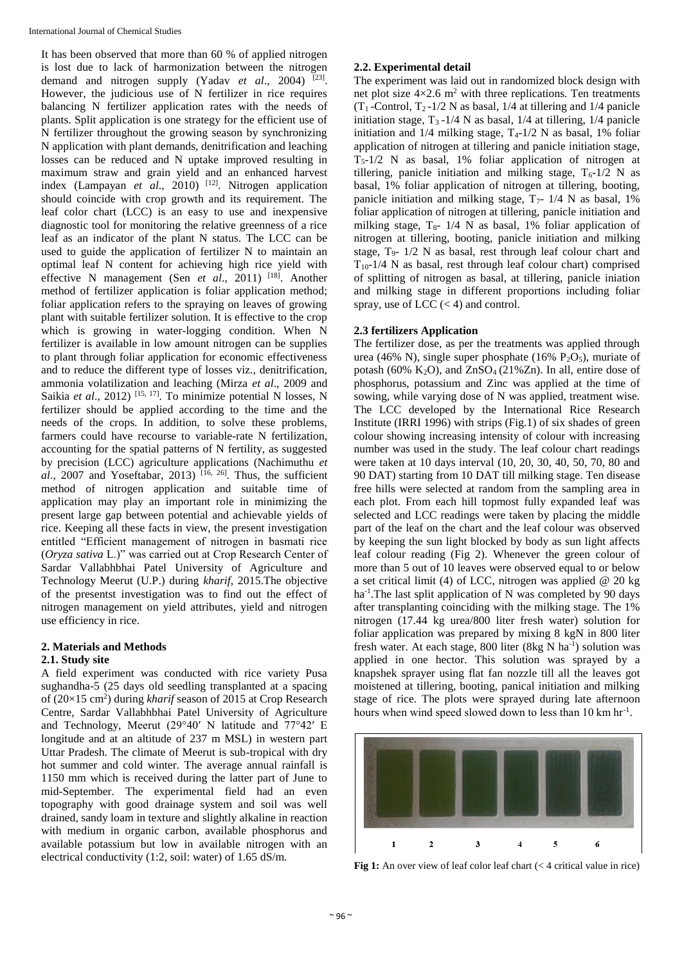It has been observed that more than 60 % of applied nitrogen is lost due to lack of harmonization between the nitrogen demand and nitrogen supply (Yadav *et al.*, 2004) <sup>[23]</sup>. However, the judicious use of N fertilizer in rice requires balancing N fertilizer application rates with the needs of plants. Split application is one strategy for the efficient use of N fertilizer throughout the growing season by synchronizing N application with plant demands, denitrification and leaching losses can be reduced and N uptake improved resulting in maximum straw and grain yield and an enhanced harvest index (Lampayan *et al.*, 2010)<sup>[12]</sup>. Nitrogen application should coincide with crop growth and its requirement. The leaf color chart (LCC) is an easy to use and inexpensive diagnostic tool for monitoring the relative greenness of a rice leaf as an indicator of the plant N status. The LCC can be used to guide the application of fertilizer N to maintain an optimal leaf N content for achieving high rice yield with effective N management (Sen *et al*., 2011) [18]. Another method of fertilizer application is foliar application method; foliar application refers to the spraying on leaves of growing plant with suitable fertilizer solution. It is effective to the crop which is growing in water-logging condition. When N fertilizer is available in low amount nitrogen can be supplies to plant through foliar application for economic effectiveness and to reduce the different type of losses viz., denitrification, ammonia volatilization and leaching (Mirza *et al*., 2009 and Saikia *et al.*, 2012)<sup>[15, 17]</sup>. To minimize potential N losses, N fertilizer should be applied according to the time and the needs of the crops. In addition, to solve these problems, farmers could have recourse to variable-rate N fertilization, accounting for the spatial patterns of N fertility, as suggested by precision (LCC) agriculture applications (Nachimuthu *et*   $al., 2007$  and Yoseftabar, 2013)<sup>[16, 26]</sup>. Thus, the sufficient method of nitrogen application and suitable time of application may play an important role in minimizing the present large gap between potential and achievable yields of rice. Keeping all these facts in view, the present investigation entitled "Efficient management of nitrogen in basmati rice (*Oryza sativa* L.)" was carried out at Crop Research Center of Sardar Vallabhbhai Patel University of Agriculture and Technology Meerut (U.P.) during *kharif*, 2015.The objective of the presentst investigation was to find out the effect of nitrogen management on yield attributes, yield and nitrogen use efficiency in rice.

#### **2. Materials and Methods**

#### **2.1. Study site**

A field experiment was conducted with rice variety Pusa sughandha-5 (25 days old seedling transplanted at a spacing of (20×15 cm<sup>2</sup>) during *kharif* season of 2015 at Crop Research Centre, Sardar Vallabhbhai Patel University of Agriculture and Technology, Meerut (29°40′ N latitude and 77°42′ E longitude and at an altitude of 237 m MSL) in western part Uttar Pradesh. The climate of Meerut is sub-tropical with dry hot summer and cold winter. The average annual rainfall is 1150 mm which is received during the latter part of June to mid-September. The experimental field had an even topography with good drainage system and soil was well drained, sandy loam in texture and slightly alkaline in reaction with medium in organic carbon, available phosphorus and available potassium but low in available nitrogen with an electrical conductivity (1:2, soil: water) of 1.65 dS/m.

# **2.2. Experimental detail**

The experiment was laid out in randomized block design with net plot size  $4 \times 2.6$  m<sup>2</sup> with three replications. Ten treatments  $(T_1$ -Control,  $T_2$ -1/2 N as basal, 1/4 at tillering and 1/4 panicle initiation stage,  $T_3 - 1/4$  N as basal,  $1/4$  at tillering,  $1/4$  panicle initiation and  $1/4$  milking stage,  $T_4$ -1/2 N as basal, 1% foliar application of nitrogen at tillering and panicle initiation stage,  $T<sub>5</sub>$ -1/2 N as basal, 1% foliar application of nitrogen at tillering, panicle initiation and milking stage,  $T_6$ -1/2 N as basal, 1% foliar application of nitrogen at tillering, booting, panicle initiation and milking stage,  $T_7$ - 1/4 N as basal, 1% foliar application of nitrogen at tillering, panicle initiation and milking stage,  $T_{8}$ - 1/4 N as basal, 1% foliar application of nitrogen at tillering, booting, panicle initiation and milking stage, T9- 1/2 N as basal, rest through leaf colour chart and  $T_{10}$ -1/4 N as basal, rest through leaf colour chart) comprised of splitting of nitrogen as basal, at tillering, panicle iniation and milking stage in different proportions including foliar spray, use of LCC  $(< 4)$  and control.

# **2.3 fertilizers Application**

The fertilizer dose, as per the treatments was applied through urea (46% N), single super phosphate (16%  $P_2O_5$ ), muriate of potash (60% K<sub>2</sub>O), and  $ZnSO<sub>4</sub>(21%Zn)$ . In all, entire dose of phosphorus, potassium and Zinc was applied at the time of sowing, while varying dose of N was applied, treatment wise. The LCC developed by the International Rice Research Institute (IRRI 1996) with strips (Fig.1) of six shades of green colour showing increasing intensity of colour with increasing number was used in the study. The leaf colour chart readings were taken at 10 days interval (10, 20, 30, 40, 50, 70, 80 and 90 DAT) starting from 10 DAT till milking stage. Ten disease free hills were selected at random from the sampling area in each plot. From each hill topmost fully expanded leaf was selected and LCC readings were taken by placing the middle part of the leaf on the chart and the leaf colour was observed by keeping the sun light blocked by body as sun light affects leaf colour reading (Fig 2). Whenever the green colour of more than 5 out of 10 leaves were observed equal to or below a set critical limit (4) of LCC, nitrogen was applied  $@$  20 kg ha<sup>-1</sup>. The last split application of N was completed by 90 days after transplanting coinciding with the milking stage. The 1% nitrogen (17.44 kg urea/800 liter fresh water) solution for foliar application was prepared by mixing 8 kgN in 800 liter fresh water. At each stage, 800 liter (8kg N ha<sup>-1</sup>) solution was applied in one hector. This solution was sprayed by a knapshek sprayer using flat fan nozzle till all the leaves got moistened at tillering, booting, panical initiation and milking stage of rice. The plots were sprayed during late afternoon hours when wind speed slowed down to less than 10 km hr<sup>-1</sup>.



**Fig 1:** An over view of leaf color leaf chart (< 4 critical value in rice)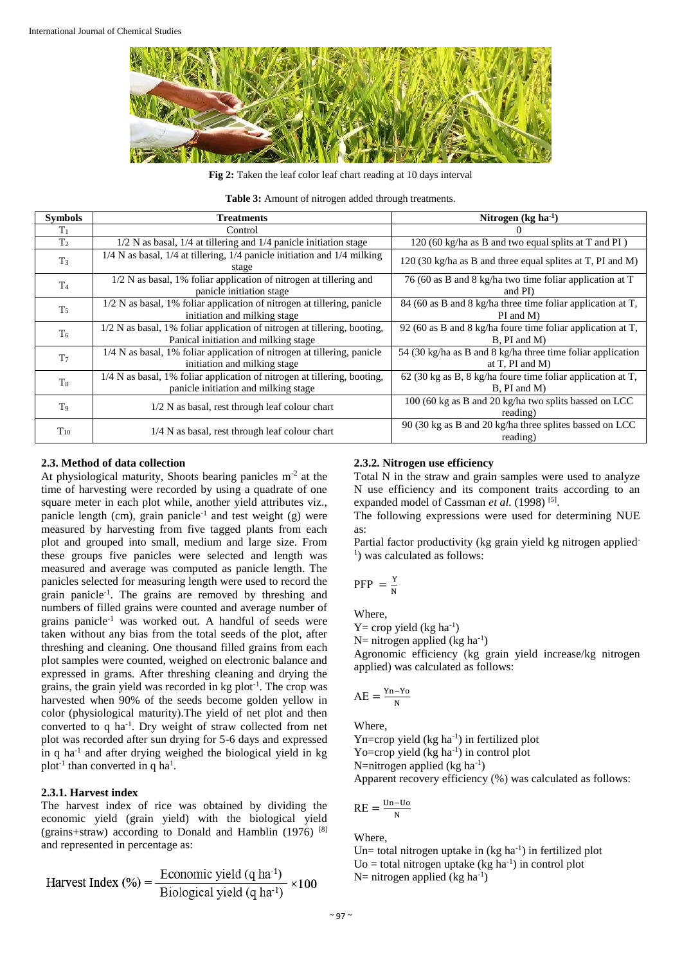

Fig 2: Taken the leaf color leaf chart reading at 10 days interval

**Table 3:** Amount of nitrogen added through treatments.

| <b>Symbols</b> | <b>Treatments</b>                                                                                                | Nitrogen $(kg ha^{-1})$                                                                |
|----------------|------------------------------------------------------------------------------------------------------------------|----------------------------------------------------------------------------------------|
| $T_1$          | Control                                                                                                          |                                                                                        |
| T <sub>2</sub> | $1/2$ N as basal, $1/4$ at tillering and $1/4$ panicle initiation stage                                          | 120 (60 kg/ha as B and two equal splits at T and PI)                                   |
| $T_3$          | $1/4$ N as basal, $1/4$ at tillering, $1/4$ panicle initiation and $1/4$ milking<br>stage                        | 120 (30 kg/ha as B and three equal splites at T, PI and M)                             |
| T <sub>4</sub> | $1/2$ N as basal, 1% foliar application of nitrogen at tillering and<br>panicle initiation stage                 | 76 (60 as B and 8 kg/ha two time foliar application at T<br>and PI)                    |
| T <sub>5</sub> | $1/2$ N as basal, 1% foliar application of nitrogen at tillering, panicle<br>initiation and milking stage        | 84 (60 as B and 8 kg/ha three time foliar application at T,<br>PI and M)               |
| T <sub>6</sub> | 1/2 N as basal, 1% foliar application of nitrogen at tillering, booting,<br>Panical initiation and milking stage | 92 (60 as B and 8 kg/ha foure time foliar application at $T$ ,<br>$B$ , PI and M)      |
| T <sub>7</sub> | 1/4 N as basal, 1% foliar application of nitrogen at tillering, panicle<br>initiation and milking stage          | 54 (30 kg/ha as B and 8 kg/ha three time foliar application<br>at $T$ , $PI$ and $M$ ) |
| T <sub>8</sub> | 1/4 N as basal, 1% foliar application of nitrogen at tillering, booting,<br>panicle initiation and milking stage | $62$ (30 kg as B, 8 kg/ha foure time foliar application at T,<br>$B$ , PI and M)       |
| T <sub>9</sub> | 1/2 N as basal, rest through leaf colour chart                                                                   | 100 (60 kg as B and 20 kg/ha two splits bassed on LCC<br>reading)                      |
| $T_{10}$       | 1/4 N as basal, rest through leaf colour chart                                                                   | 90 (30 kg as B and 20 kg/ha three splites bassed on LCC<br>reading)                    |

#### **2.3. Method of data collection**

At physiological maturity, Shoots bearing panicles  $m<sup>-2</sup>$  at the time of harvesting were recorded by using a quadrate of one square meter in each plot while, another yield attributes viz., panicle length (cm), grain panicle<sup>-1</sup> and test weight (g) were measured by harvesting from five tagged plants from each plot and grouped into small, medium and large size. From these groups five panicles were selected and length was measured and average was computed as panicle length. The panicles selected for measuring length were used to record the grain panicle<sup>-1</sup>. The grains are removed by threshing and numbers of filled grains were counted and average number of grains panicle-1 was worked out. A handful of seeds were taken without any bias from the total seeds of the plot, after threshing and cleaning. One thousand filled grains from each plot samples were counted, weighed on electronic balance and expressed in grams. After threshing cleaning and drying the grains, the grain yield was recorded in kg plot<sup>-1</sup>. The crop was harvested when 90% of the seeds become golden yellow in color (physiological maturity).The yield of net plot and then converted to q ha<sup>-1</sup>. Dry weight of straw collected from net plot was recorded after sun drying for 5-6 days and expressed in q ha<sup>-1</sup> and after drying weighed the biological yield in kg plot<sup>-1</sup> than converted in q ha<sup>1</sup>.

# **2.3.1. Harvest index**

The harvest index of rice was obtained by dividing the economic yield (grain yield) with the biological yield (grains+straw) according to Donald and Hamblin  $(1976)$ <sup>[8]</sup> and represented in percentage as:

Harvest Index (%) = 
$$
\frac{\text{Economic yield (q ha-1)}}{\text{Biological yield (q ha-1)}} \times 100
$$

# **2.3.2. Nitrogen use efficiency**

Total N in the straw and grain samples were used to analyze N use efficiency and its component traits according to an expanded model of Cassman et al. (1998)<sup>[5]</sup>.

The following expressions were used for determining NUE as:

Partial factor productivity (kg grain yield kg nitrogen applied-<sup>1</sup>) was calculated as follows:

$$
PFP = \frac{Y}{N}
$$

Where,

 $Y =$  crop yield (kg ha<sup>-1</sup>)

N= nitrogen applied (kg ha<sup>-1</sup>)

Agronomic efficiency (kg grain yield increase/kg nitrogen applied) was calculated as follows:

$$
AE = \frac{Yn - Yo}{N}
$$

Where,

Yn=crop yield (kg ha<sup>-1</sup>) in fertilized plot Yo=crop yield  $(kg ha<sup>-1</sup>)$  in control plot

N=nitrogen applied ( $kg \text{ ha}^{-1}$ )

Apparent recovery efficiency (%) was calculated as follows:

$$
RE = \frac{Un-U_0}{N}
$$

Where,

Un= total nitrogen uptake in  $(kg ha<sup>-1</sup>)$  in fertilized plot  $U_0 =$  total nitrogen uptake (kg ha<sup>-1</sup>) in control plot N= nitrogen applied (kg ha<sup>-1</sup>)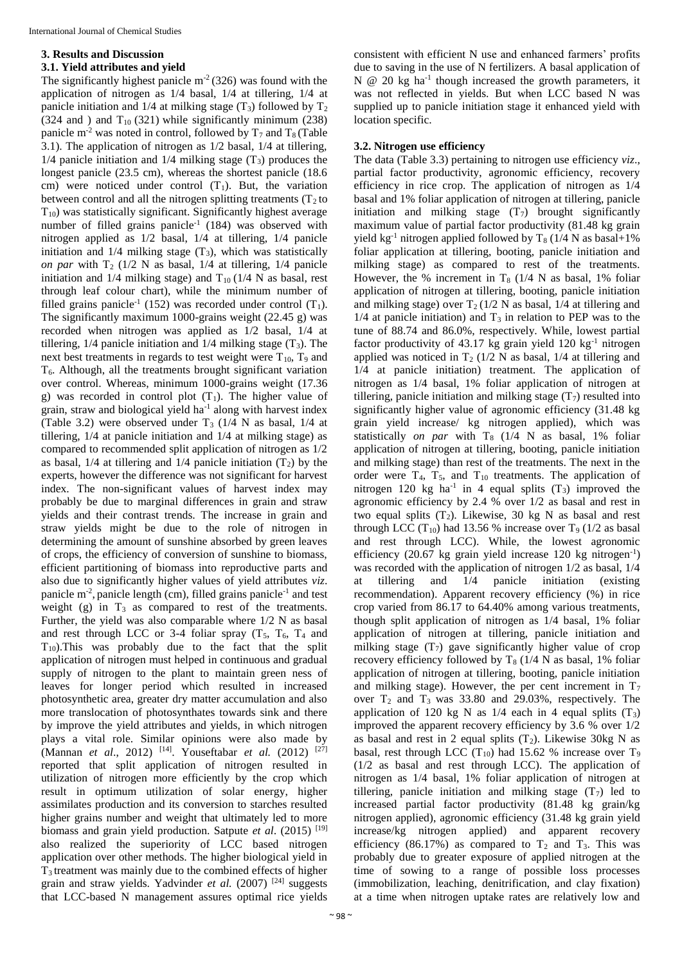## **3. Results and Discussion**

# **3.1. Yield attributes and yield**

The significantly highest panicle  $m<sup>2</sup> (326)$  was found with the application of nitrogen as 1/4 basal, 1/4 at tillering, 1/4 at panicle initiation and  $1/4$  at milking stage (T<sub>3</sub>) followed by T<sub>2</sub>  $(324 \text{ and } )$  and  $T_{10}$   $(321)$  while significantly minimum  $(238)$ panicle m<sup>-2</sup> was noted in control, followed by  $T_7$  and  $T_8$  (Table 3.1). The application of nitrogen as 1/2 basal, 1/4 at tillering, 1/4 panicle initiation and 1/4 milking stage  $(T_3)$  produces the longest panicle (23.5 cm), whereas the shortest panicle (18.6) cm) were noticed under control  $(T_1)$ . But, the variation between control and all the nitrogen splitting treatments  $(T_2$  to  $T_{10}$ ) was statistically significant. Significantly highest average number of filled grains panicle<sup>-1</sup> (184) was observed with nitrogen applied as 1/2 basal, 1/4 at tillering, 1/4 panicle initiation and  $1/4$  milking stage  $(T_3)$ , which was statistically *on par* with  $T_2$  (1/2 N as basal, 1/4 at tillering, 1/4 panicle initiation and  $1/4$  milking stage) and  $T_{10}$  ( $1/4$  N as basal, rest through leaf colour chart), while the minimum number of filled grains panicle<sup>-1</sup> (152) was recorded under control  $(T_1)$ . The significantly maximum 1000-grains weight (22.45 g) was recorded when nitrogen was applied as 1/2 basal, 1/4 at tillering,  $1/4$  panicle initiation and  $1/4$  milking stage  $(T_3)$ . The next best treatments in regards to test weight were  $T_{10}$ ,  $T_9$  and  $T<sub>6</sub>$ . Although, all the treatments brought significant variation over control. Whereas, minimum 1000-grains weight (17.36 g) was recorded in control plot  $(T_1)$ . The higher value of grain, straw and biological yield ha<sup>-1</sup> along with harvest index (Table 3.2) were observed under  $T_3$  (1/4 N as basal, 1/4 at tillering, 1/4 at panicle initiation and 1/4 at milking stage) as compared to recommended split application of nitrogen as 1/2 as basal,  $1/4$  at tillering and  $1/4$  panicle initiation  $(T_2)$  by the experts, however the difference was not significant for harvest index. The non-significant values of harvest index may probably be due to marginal differences in grain and straw yields and their contrast trends. The increase in grain and straw yields might be due to the role of nitrogen in determining the amount of sunshine absorbed by green leaves of crops, the efficiency of conversion of sunshine to biomass, efficient partitioning of biomass into reproductive parts and also due to significantly higher values of yield attributes *viz*. panicle  $m<sup>2</sup>$ , panicle length (cm), filled grains panicle<sup>-1</sup> and test weight (g) in  $T_3$  as compared to rest of the treatments. Further, the yield was also comparable where 1/2 N as basal and rest through LCC or 3-4 foliar spray  $(T_5, T_6, T_4$  and  $T_{10}$ ). This was probably due to the fact that the split application of nitrogen must helped in continuous and gradual supply of nitrogen to the plant to maintain green ness of leaves for longer period which resulted in increased photosynthetic area, greater dry matter accumulation and also more translocation of photosynthates towards sink and there by improve the yield attributes and yields, in which nitrogen plays a vital role. Similar opinions were also made by (Mannan *et al.*, 2012) <sup>[14]</sup>. Youseftabar *et al.* (2012) <sup>[27]</sup> reported that split application of nitrogen resulted in utilization of nitrogen more efficiently by the crop which result in optimum utilization of solar energy, higher assimilates production and its conversion to starches resulted higher grains number and weight that ultimately led to more biomass and grain yield production. Satpute *et al*. (2015) [19] also realized the superiority of LCC based nitrogen application over other methods. The higher biological yield in T3 treatment was mainly due to the combined effects of higher grain and straw yields. Yadvinder *et al.* (2007)<sup>[24]</sup> suggests that LCC-based N management assures optimal rice yields

consistent with efficient N use and enhanced farmers' profits due to saving in the use of N fertilizers. A basal application of N @ 20 kg ha<sup>-1</sup> though increased the growth parameters, it was not reflected in yields. But when LCC based N was supplied up to panicle initiation stage it enhanced yield with location specific.

# **3.2. Nitrogen use efficiency**

The data (Table 3.3) pertaining to nitrogen use efficiency *viz*., partial factor productivity, agronomic efficiency, recovery efficiency in rice crop. The application of nitrogen as 1/4 basal and 1% foliar application of nitrogen at tillering, panicle initiation and milking stage  $(T_7)$  brought significantly maximum value of partial factor productivity (81.48 kg grain yield kg<sup>-1</sup> nitrogen applied followed by  $T_8$  (1/4 N as basal+1%) foliar application at tillering, booting, panicle initiation and milking stage) as compared to rest of the treatments. However, the % increment in  $T_8$  (1/4 N as basal, 1% foliar application of nitrogen at tillering, booting, panicle initiation and milking stage) over  $T_2(1/2 \text{ N as basal}, 1/4 \text{ at tillering and})$  $1/4$  at panicle initiation) and  $T_3$  in relation to PEP was to the tune of 88.74 and 86.0%, respectively. While, lowest partial factor productivity of  $43.17$  kg grain yield  $120 \text{ kg}^{-1}$  nitrogen applied was noticed in  $T_2$  (1/2 N as basal, 1/4 at tillering and 1/4 at panicle initiation) treatment. The application of nitrogen as 1/4 basal, 1% foliar application of nitrogen at tillering, panicle initiation and milking stage  $(T_7)$  resulted into significantly higher value of agronomic efficiency (31.48 kg grain yield increase/ kg nitrogen applied), which was statistically *on par* with  $T_8$  (1/4 N as basal, 1% foliar application of nitrogen at tillering, booting, panicle initiation and milking stage) than rest of the treatments. The next in the order were  $T_4$ ,  $T_5$ , and  $T_{10}$  treatments. The application of nitrogen 120 kg ha<sup>-1</sup> in 4 equal splits  $(T_3)$  improved the agronomic efficiency by 2.4 % over 1/2 as basal and rest in two equal splits  $(T_2)$ . Likewise, 30 kg N as basal and rest through LCC (T<sub>10</sub>) had 13.56 % increase over T<sub>9</sub> (1/2 as basal and rest through LCC). While, the lowest agronomic efficiency  $(20.67 \text{ kg grain yield increase } 120 \text{ kg nitrogen}^{-1})$ was recorded with the application of nitrogen 1/2 as basal, 1/4 at tillering and 1/4 panicle initiation (existing recommendation). Apparent recovery efficiency (%) in rice crop varied from 86.17 to 64.40% among various treatments, though split application of nitrogen as 1/4 basal, 1% foliar application of nitrogen at tillering, panicle initiation and milking stage  $(T_7)$  gave significantly higher value of crop recovery efficiency followed by  $T_8$  (1/4 N as basal, 1% foliar application of nitrogen at tillering, booting, panicle initiation and milking stage). However, the per cent increment in  $T_7$ over  $T_2$  and  $T_3$  was 33.80 and 29.03%, respectively. The application of 120 kg N as  $1/4$  each in 4 equal splits  $(T_3)$ improved the apparent recovery efficiency by 3.6 % over 1/2 as basal and rest in 2 equal splits  $(T_2)$ . Likewise 30kg N as basal, rest through LCC  $(T_{10})$  had 15.62 % increase over  $T_9$ (1/2 as basal and rest through LCC). The application of nitrogen as 1/4 basal, 1% foliar application of nitrogen at tillering, panicle initiation and milking stage  $(T<sub>7</sub>)$  led to increased partial factor productivity (81.48 kg grain/kg nitrogen applied), agronomic efficiency (31.48 kg grain yield increase/kg nitrogen applied) and apparent recovery efficiency (86.17%) as compared to  $T_2$  and  $T_3$ . This was probably due to greater exposure of applied nitrogen at the time of sowing to a range of possible loss processes (immobilization, leaching, denitrification, and clay fixation) at a time when nitrogen uptake rates are relatively low and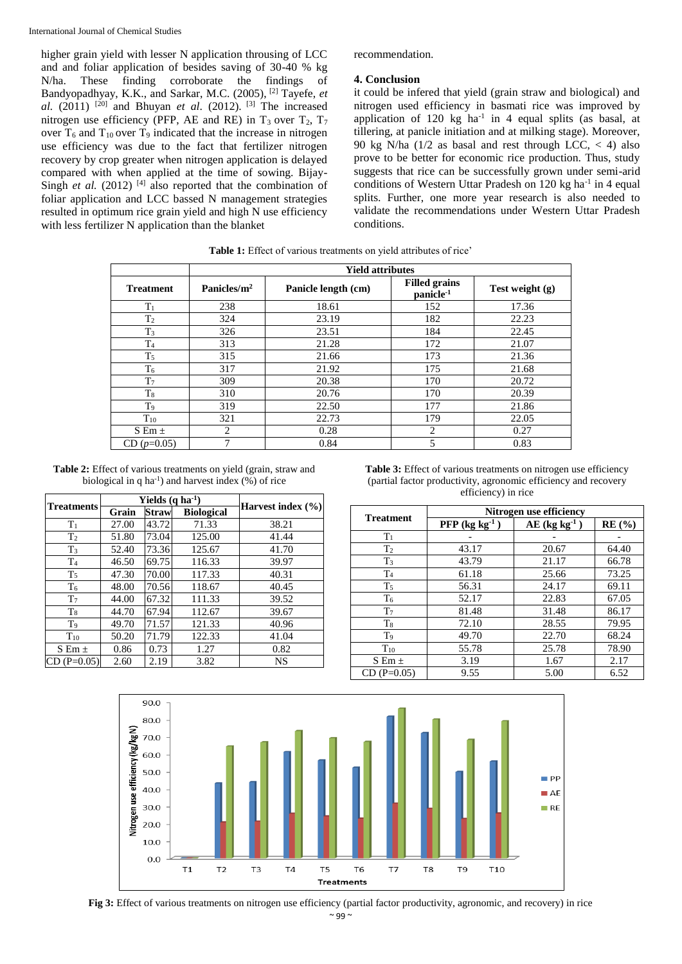higher grain yield with lesser N application throusing of LCC and and foliar application of besides saving of 30-40 % kg N/ha. These finding corroborate the findings of Bandyopadhyay, K.K., and Sarkar, M.C. (2005), [2] Tayefe, *et al.* (2011) <sup>[20]</sup> and Bhuyan *et al.* (2012). <sup>[3]</sup> The increased nitrogen use efficiency (PFP, AE and RE) in  $T_3$  over  $T_2$ ,  $T_7$ over  $T_6$  and  $T_{10}$  over  $T_9$  indicated that the increase in nitrogen use efficiency was due to the fact that fertilizer nitrogen recovery by crop greater when nitrogen application is delayed compared with when applied at the time of sowing. Bijay-Singh *et al.*  $(2012)$ <sup>[4]</sup> also reported that the combination of foliar application and LCC bassed N management strategies resulted in optimum rice grain yield and high N use efficiency with less fertilizer N application than the blanket

recommendation.

#### **4. Conclusion**

it could be infered that yield (grain straw and biological) and nitrogen used efficiency in basmati rice was improved by application of  $120 \text{ kg}$  ha<sup>-1</sup> in 4 equal splits (as basal, at tillering, at panicle initiation and at milking stage). Moreover, 90 kg N/ha  $(1/2)$  as basal and rest through LCC,  $\lt$  4) also prove to be better for economic rice production. Thus, study suggests that rice can be successfully grown under semi-arid conditions of Western Uttar Pradesh on  $120$  kg ha<sup>-1</sup> in 4 equal splits. Further, one more year research is also needed to validate the recommendations under Western Uttar Pradesh conditions.

|                  | <b>Yield attributes</b> |                     |                                               |                   |  |
|------------------|-------------------------|---------------------|-----------------------------------------------|-------------------|--|
| <b>Treatment</b> | Panicles/ $m2$          | Panicle length (cm) | <b>Filled grains</b><br>panicle <sup>-1</sup> | Test weight $(g)$ |  |
| $T_1$            | 238                     | 18.61               | 152                                           | 17.36             |  |
| T <sub>2</sub>   | 324                     | 23.19               | 182                                           | 22.23             |  |
| $T_3$            | 326                     | 23.51               | 184                                           | 22.45             |  |
| T <sub>4</sub>   | 313                     | 21.28               | 172                                           | 21.07             |  |
| $T_5$            | 315                     | 21.66               | 173                                           | 21.36             |  |
| $T_6$            | 317                     | 21.92               | 175                                           | 21.68             |  |
| T <sub>7</sub>   | 309                     | 20.38               | 170                                           | 20.72             |  |
| $T_8$            | 310                     | 20.76               | 170                                           | 20.39             |  |
| T <sub>9</sub>   | 319                     | 22.50               | 177                                           | 21.86             |  |
| $T_{10}$         | 321                     | 22.73               | 179                                           | 22.05             |  |
| $S Em \pm$       | $\overline{c}$          | 0.28                | $\overline{c}$                                | 0.27              |  |
| $CD(p=0.05)$     | 7                       | 0.84                | 5                                             | 0.83              |  |

**Table 1:** Effect of various treatments on yield attributes of rice'

**Table 2:** Effect of various treatments on yield (grain, straw and biological in q  $ha^{-1}$ ) and harvest index (%) of rice

| <b>Treatments</b> | Yields $(q \, ha^{-1})$ |              | Harvest index $(\% )$ |           |
|-------------------|-------------------------|--------------|-----------------------|-----------|
|                   | Grain                   | <b>Straw</b> | <b>Biological</b>     |           |
| $T_1$             | 27.00                   | 43.72        | 71.33                 | 38.21     |
| T <sub>2</sub>    | 51.80                   | 73.04        | 125.00                | 41.44     |
| $T_3$             | 52.40                   | 73.36        | 125.67                | 41.70     |
| T <sub>4</sub>    | 46.50                   | 69.75        | 116.33                | 39.97     |
| $T_5$             | 47.30                   | 70.00        | 117.33                | 40.31     |
| T <sub>6</sub>    | 48.00                   | 70.56        | 118.67                | 40.45     |
| T <sub>7</sub>    | 44.00                   | 67.32        | 111.33                | 39.52     |
| $T_8$             | 44.70                   | 67.94        | 112.67                | 39.67     |
| T <sub>9</sub>    | 49.70                   | 71.57        | 121.33                | 40.96     |
| $T_{10}$          | 50.20                   | 71.79        | 122.33                | 41.04     |
| S Em $\pm$        | 0.86                    | 0.73         | 1.27                  | 0.82      |
| $CD (P=0.05)$     | 2.60                    | 2.19         | 3.82                  | <b>NS</b> |

Table 3: Effect of various treatments on nitrogen use efficiency (partial factor productivity, agronomic efficiency and recovery efficiency) in rice

| <b>Treatment</b> | Nitrogen use efficiency      |                             |       |  |
|------------------|------------------------------|-----------------------------|-------|--|
|                  | $PFP$ (kg kg <sup>-1</sup> ) | $AE$ (kg kg <sup>-1</sup> ) | RE(%) |  |
| T <sub>1</sub>   |                              |                             |       |  |
| T <sub>2</sub>   | 43.17                        | 20.67                       | 64.40 |  |
| T <sub>3</sub>   | 43.79                        | 21.17                       | 66.78 |  |
| T <sub>4</sub>   | 61.18                        | 25.66                       | 73.25 |  |
| T <sub>5</sub>   | 56.31                        | 24.17                       | 69.11 |  |
| T <sub>6</sub>   | 52.17                        | 22.83                       | 67.05 |  |
| T <sub>7</sub>   | 81.48                        | 31.48                       | 86.17 |  |
| $T_8$            | 72.10                        | 28.55                       | 79.95 |  |
| T <sub>9</sub>   | 49.70                        | 22.70                       | 68.24 |  |
| $T_{10}$         | 55.78                        | 25.78                       | 78.90 |  |
| $S$ Em $\pm$     | 3.19                         | 1.67                        | 2.17  |  |
| $CD(P=0.05)$     | 9.55                         | 5.00                        | 6.52  |  |



 $~\sim$  99  $~\sim$ **Fig 3:** Effect of various treatments on nitrogen use efficiency (partial factor productivity, agronomic, and recovery) in rice